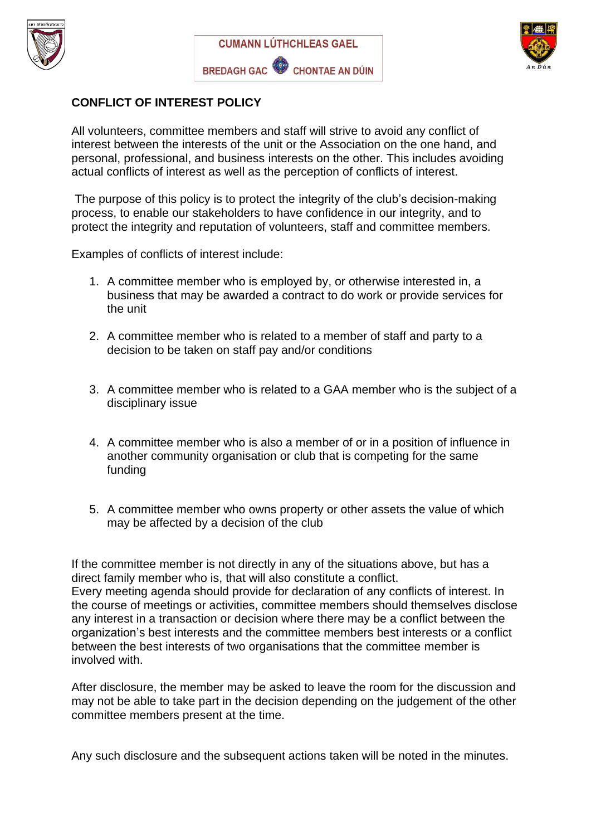





## **CONFLICT OF INTEREST POLICY**

All volunteers, committee members and staff will strive to avoid any conflict of interest between the interests of the unit or the Association on the one hand, and personal, professional, and business interests on the other. This includes avoiding actual conflicts of interest as well as the perception of conflicts of interest.

The purpose of this policy is to protect the integrity of the club's decision-making process, to enable our stakeholders to have confidence in our integrity, and to protect the integrity and reputation of volunteers, staff and committee members.

Examples of conflicts of interest include:

- 1. A committee member who is employed by, or otherwise interested in, a business that may be awarded a contract to do work or provide services for the unit
- 2. A committee member who is related to a member of staff and party to a decision to be taken on staff pay and/or conditions
- 3. A committee member who is related to a GAA member who is the subject of a disciplinary issue
- 4. A committee member who is also a member of or in a position of influence in another community organisation or club that is competing for the same funding
- 5. A committee member who owns property or other assets the value of which may be affected by a decision of the club

If the committee member is not directly in any of the situations above, but has a direct family member who is, that will also constitute a conflict. Every meeting agenda should provide for declaration of any conflicts of interest. In the course of meetings or activities, committee members should themselves disclose any interest in a transaction or decision where there may be a conflict between the organization's best interests and the committee members best interests or a conflict between the best interests of two organisations that the committee member is involved with.

After disclosure, the member may be asked to leave the room for the discussion and may not be able to take part in the decision depending on the judgement of the other committee members present at the time.

Any such disclosure and the subsequent actions taken will be noted in the minutes.